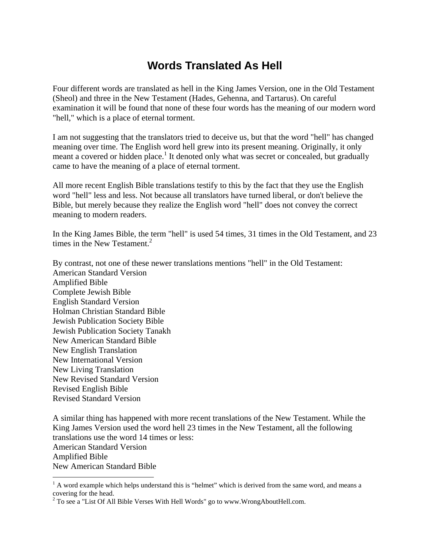# **Words Translated As Hell**

Four different words are translated as hell in the King James Version, one in the Old Testament (Sheol) and three in the New Testament (Hades, Gehenna, and Tartarus). On careful examination it will be found that none of these four words has the meaning of our modern word "hell," which is a place of eternal torment.

I am not suggesting that the translators tried to deceive us, but that the word "hell" has changed meaning over time. The English word hell grew into its present meaning. Originally, it only meant a covered or hidden place.<sup>1</sup> It denoted only what was secret or concealed, but gradually came to have the meaning of a place of eternal torment.

All more recent English Bible translations testify to this by the fact that they use the English word "hell" less and less. Not because all translators have turned liberal, or don't believe the Bible, but merely because they realize the English word "hell" does not convey the correct meaning to modern readers.

In the King James Bible, the term "hell" is used 54 times, 31 times in the Old Testament, and 23 times in the New Testament. $2$ 

By contrast, not one of these newer translations mentions "hell" in the Old Testament: American Standard Version Amplified Bible Complete Jewish Bible English Standard Version Holman Christian Standard Bible Jewish Publication Society Bible Jewish Publication Society Tanakh New American Standard Bible New English Translation New International Version New Living Translation New Revised Standard Version Revised English Bible Revised Standard Version

A similar thing has happened with more recent translations of the New Testament. While the King James Version used the word hell 23 times in the New Testament, all the following translations use the word 14 times or less: American Standard Version Amplified Bible New American Standard Bible  $\overline{a}$ 

 $<sup>1</sup>$  A word example which helps understand this is "helmet" which is derived from the same word, and means a</sup> covering for the head.

 $2^2$  To see a "List Of All Bible Verses With Hell Words" go to www.WrongAboutHell.com.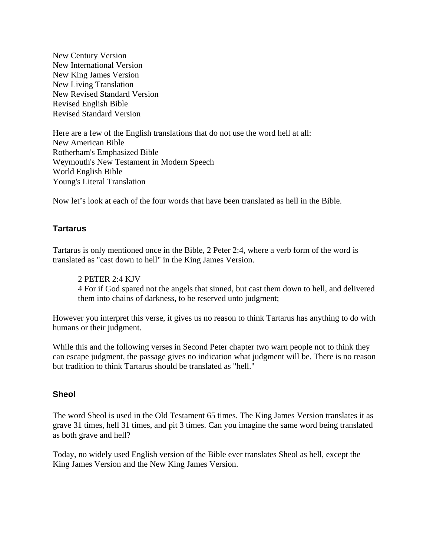New Century Version New International Version New King James Version New Living Translation New Revised Standard Version Revised English Bible Revised Standard Version

Here are a few of the English translations that do not use the word hell at all: New American Bible Rotherham's Emphasized Bible Weymouth's New Testament in Modern Speech World English Bible Young's Literal Translation

Now let's look at each of the four words that have been translated as hell in the Bible.

## **Tartarus**

Tartarus is only mentioned once in the Bible, 2 Peter 2:4, where a verb form of the word is translated as "cast down to hell" in the King James Version.

2 PETER 2:4 KJV 4 For if God spared not the angels that sinned, but cast them down to hell, and delivered them into chains of darkness, to be reserved unto judgment;

However you interpret this verse, it gives us no reason to think Tartarus has anything to do with humans or their judgment.

While this and the following verses in Second Peter chapter two warn people not to think they can escape judgment, the passage gives no indication what judgment will be. There is no reason but tradition to think Tartarus should be translated as "hell."

#### **Sheol**

The word Sheol is used in the Old Testament 65 times. The King James Version translates it as grave 31 times, hell 31 times, and pit 3 times. Can you imagine the same word being translated as both grave and hell?

Today, no widely used English version of the Bible ever translates Sheol as hell, except the King James Version and the New King James Version.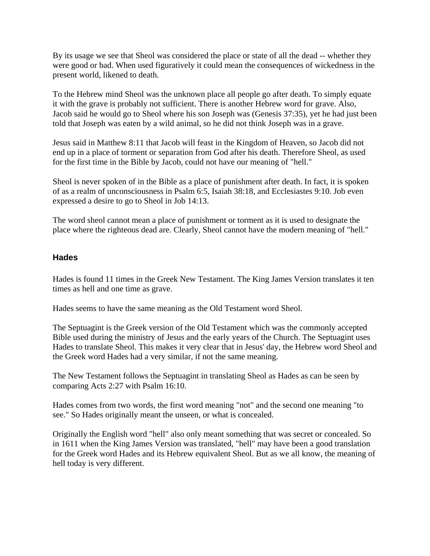By its usage we see that Sheol was considered the place or state of all the dead -- whether they were good or bad. When used figuratively it could mean the consequences of wickedness in the present world, likened to death.

To the Hebrew mind Sheol was the unknown place all people go after death. To simply equate it with the grave is probably not sufficient. There is another Hebrew word for grave. Also, Jacob said he would go to Sheol where his son Joseph was (Genesis 37:35), yet he had just been told that Joseph was eaten by a wild animal, so he did not think Joseph was in a grave.

Jesus said in Matthew 8:11 that Jacob will feast in the Kingdom of Heaven, so Jacob did not end up in a place of torment or separation from God after his death. Therefore Sheol, as used for the first time in the Bible by Jacob, could not have our meaning of "hell."

Sheol is never spoken of in the Bible as a place of punishment after death. In fact, it is spoken of as a realm of unconsciousness in Psalm 6:5, Isaiah 38:18, and Ecclesiastes 9:10. Job even expressed a desire to go to Sheol in Job 14:13.

The word sheol cannot mean a place of punishment or torment as it is used to designate the place where the righteous dead are. Clearly, Sheol cannot have the modern meaning of "hell."

## **Hades**

Hades is found 11 times in the Greek New Testament. The King James Version translates it ten times as hell and one time as grave.

Hades seems to have the same meaning as the Old Testament word Sheol.

The Septuagint is the Greek version of the Old Testament which was the commonly accepted Bible used during the ministry of Jesus and the early years of the Church. The Septuagint uses Hades to translate Sheol. This makes it very clear that in Jesus' day, the Hebrew word Sheol and the Greek word Hades had a very similar, if not the same meaning.

The New Testament follows the Septuagint in translating Sheol as Hades as can be seen by comparing Acts 2:27 with Psalm 16:10.

Hades comes from two words, the first word meaning "not" and the second one meaning "to see." So Hades originally meant the unseen, or what is concealed.

Originally the English word "hell" also only meant something that was secret or concealed. So in 1611 when the King James Version was translated, "hell" may have been a good translation for the Greek word Hades and its Hebrew equivalent Sheol. But as we all know, the meaning of hell today is very different.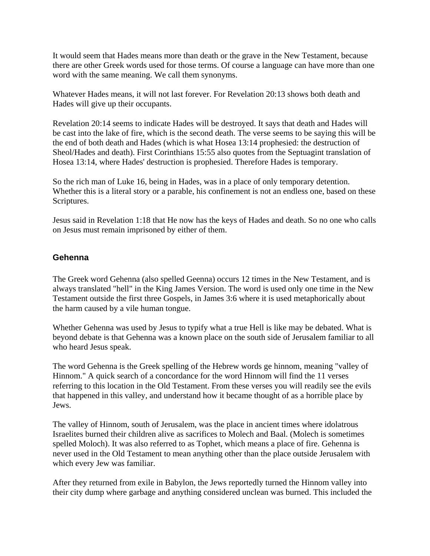It would seem that Hades means more than death or the grave in the New Testament, because there are other Greek words used for those terms. Of course a language can have more than one word with the same meaning. We call them synonyms.

Whatever Hades means, it will not last forever. For Revelation 20:13 shows both death and Hades will give up their occupants.

Revelation 20:14 seems to indicate Hades will be destroyed. It says that death and Hades will be cast into the lake of fire, which is the second death. The verse seems to be saying this will be the end of both death and Hades (which is what Hosea 13:14 prophesied: the destruction of Sheol/Hades and death). First Corinthians 15:55 also quotes from the Septuagint translation of Hosea 13:14, where Hades' destruction is prophesied. Therefore Hades is temporary.

So the rich man of Luke 16, being in Hades, was in a place of only temporary detention. Whether this is a literal story or a parable, his confinement is not an endless one, based on these Scriptures.

Jesus said in Revelation 1:18 that He now has the keys of Hades and death. So no one who calls on Jesus must remain imprisoned by either of them.

## **Gehenna**

The Greek word Gehenna (also spelled Geenna) occurs 12 times in the New Testament, and is always translated "hell" in the King James Version. The word is used only one time in the New Testament outside the first three Gospels, in James 3:6 where it is used metaphorically about the harm caused by a vile human tongue.

Whether Gehenna was used by Jesus to typify what a true Hell is like may be debated. What is beyond debate is that Gehenna was a known place on the south side of Jerusalem familiar to all who heard Jesus speak.

The word Gehenna is the Greek spelling of the Hebrew words ge hinnom, meaning "valley of Hinnom." A quick search of a concordance for the word Hinnom will find the 11 verses referring to this location in the Old Testament. From these verses you will readily see the evils that happened in this valley, and understand how it became thought of as a horrible place by Jews.

The valley of Hinnom, south of Jerusalem, was the place in ancient times where idolatrous Israelites burned their children alive as sacrifices to Molech and Baal. (Molech is sometimes spelled Moloch). It was also referred to as Tophet, which means a place of fire. Gehenna is never used in the Old Testament to mean anything other than the place outside Jerusalem with which every Jew was familiar.

After they returned from exile in Babylon, the Jews reportedly turned the Hinnom valley into their city dump where garbage and anything considered unclean was burned. This included the